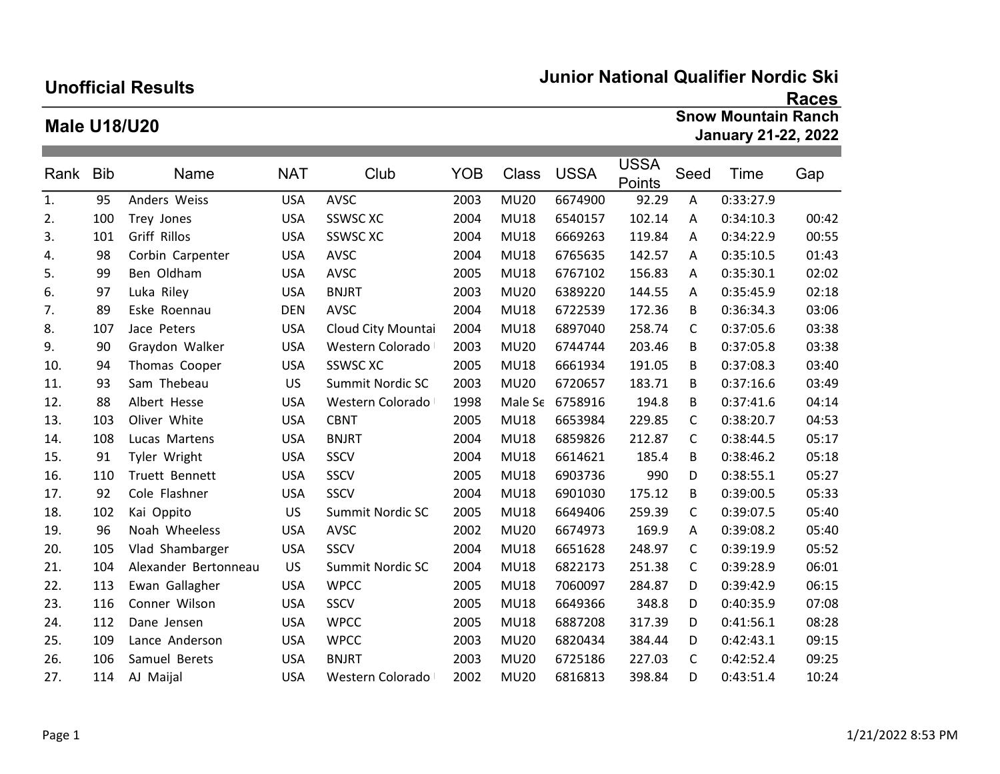## Unofficial Results

## Junior National Qualifier Nordic Ski

## Male U18/U20

## Races Snow Mountain Ranch January 21-22, 2022

| Rank | <b>Bib</b> | Name                 | <b>NAT</b> | Club               | <b>YOB</b> | Class       | <b>USSA</b> | <b>USSA</b><br>Points | Seed | Time      | Gap   |
|------|------------|----------------------|------------|--------------------|------------|-------------|-------------|-----------------------|------|-----------|-------|
| 1.   | 95         | Anders Weiss         | <b>USA</b> | <b>AVSC</b>        | 2003       | <b>MU20</b> | 6674900     | 92.29                 | A    | 0:33:27.9 |       |
| 2.   | 100        | Trey Jones           | <b>USA</b> | <b>SSWSC XC</b>    | 2004       | <b>MU18</b> | 6540157     | 102.14                | A    | 0:34:10.3 | 00:42 |
| 3.   | 101        | Griff Rillos         | <b>USA</b> | SSWSC XC           | 2004       | <b>MU18</b> | 6669263     | 119.84                | A    | 0:34:22.9 | 00:55 |
| 4.   | 98         | Corbin Carpenter     | <b>USA</b> | AVSC               | 2004       | <b>MU18</b> | 6765635     | 142.57                | A    | 0:35:10.5 | 01:43 |
| 5.   | 99         | Ben Oldham           | <b>USA</b> | AVSC               | 2005       | <b>MU18</b> | 6767102     | 156.83                | A    | 0:35:30.1 | 02:02 |
| 6.   | 97         | Luka Riley           | <b>USA</b> | <b>BNJRT</b>       | 2003       | <b>MU20</b> | 6389220     | 144.55                | A    | 0:35:45.9 | 02:18 |
| 7.   | 89         | Eske Roennau         | <b>DEN</b> | <b>AVSC</b>        | 2004       | <b>MU18</b> | 6722539     | 172.36                | B    | 0:36:34.3 | 03:06 |
| 8.   | 107        | Jace Peters          | <b>USA</b> | Cloud City Mountai | 2004       | <b>MU18</b> | 6897040     | 258.74                | C    | 0:37:05.6 | 03:38 |
| 9.   | 90         | Graydon Walker       | <b>USA</b> | Western Colorado   | 2003       | <b>MU20</b> | 6744744     | 203.46                | B    | 0:37:05.8 | 03:38 |
| 10.  | 94         | Thomas Cooper        | <b>USA</b> | <b>SSWSC XC</b>    | 2005       | <b>MU18</b> | 6661934     | 191.05                | B    | 0:37:08.3 | 03:40 |
| 11.  | 93         | Sam Thebeau          | <b>US</b>  | Summit Nordic SC   | 2003       | <b>MU20</b> | 6720657     | 183.71                | B    | 0:37:16.6 | 03:49 |
| 12.  | 88         | Albert Hesse         | <b>USA</b> | Western Colorado   | 1998       | Male Se     | 6758916     | 194.8                 | B    | 0:37:41.6 | 04:14 |
| 13.  | 103        | Oliver White         | <b>USA</b> | <b>CBNT</b>        | 2005       | <b>MU18</b> | 6653984     | 229.85                | C    | 0:38:20.7 | 04:53 |
| 14.  | 108        | Lucas Martens        | <b>USA</b> | <b>BNJRT</b>       | 2004       | <b>MU18</b> | 6859826     | 212.87                | C    | 0:38:44.5 | 05:17 |
| 15.  | 91         | Tyler Wright         | <b>USA</b> | SSCV               | 2004       | <b>MU18</b> | 6614621     | 185.4                 | B    | 0:38:46.2 | 05:18 |
| 16.  | 110        | Truett Bennett       | <b>USA</b> | SSCV               | 2005       | <b>MU18</b> | 6903736     | 990                   | D    | 0:38:55.1 | 05:27 |
| 17.  | 92         | Cole Flashner        | <b>USA</b> | SSCV               | 2004       | <b>MU18</b> | 6901030     | 175.12                | B    | 0:39:00.5 | 05:33 |
| 18.  | 102        | Kai Oppito           | <b>US</b>  | Summit Nordic SC   | 2005       | <b>MU18</b> | 6649406     | 259.39                | C    | 0:39:07.5 | 05:40 |
| 19.  | 96         | Noah Wheeless        | <b>USA</b> | <b>AVSC</b>        | 2002       | <b>MU20</b> | 6674973     | 169.9                 | A    | 0:39:08.2 | 05:40 |
| 20.  | 105        | Vlad Shambarger      | <b>USA</b> | SSCV               | 2004       | <b>MU18</b> | 6651628     | 248.97                | C    | 0:39:19.9 | 05:52 |
| 21.  | 104        | Alexander Bertonneau | <b>US</b>  | Summit Nordic SC   | 2004       | <b>MU18</b> | 6822173     | 251.38                | C    | 0:39:28.9 | 06:01 |
| 22.  | 113        | Ewan Gallagher       | <b>USA</b> | <b>WPCC</b>        | 2005       | <b>MU18</b> | 7060097     | 284.87                | D    | 0:39:42.9 | 06:15 |
| 23.  | 116        | Conner Wilson        | <b>USA</b> | SSCV               | 2005       | <b>MU18</b> | 6649366     | 348.8                 | D    | 0:40:35.9 | 07:08 |
| 24.  | 112        | Dane Jensen          | <b>USA</b> | <b>WPCC</b>        | 2005       | <b>MU18</b> | 6887208     | 317.39                | D    | 0:41:56.1 | 08:28 |
| 25.  | 109        | Lance Anderson       | <b>USA</b> | <b>WPCC</b>        | 2003       | <b>MU20</b> | 6820434     | 384.44                | D    | 0:42:43.1 | 09:15 |
| 26.  | 106        | Samuel Berets        | <b>USA</b> | <b>BNJRT</b>       | 2003       | <b>MU20</b> | 6725186     | 227.03                | C    | 0:42:52.4 | 09:25 |
| 27.  | 114        | AJ Maijal            | <b>USA</b> | Western Colorado   | 2002       | <b>MU20</b> | 6816813     | 398.84                | D    | 0:43:51.4 | 10:24 |